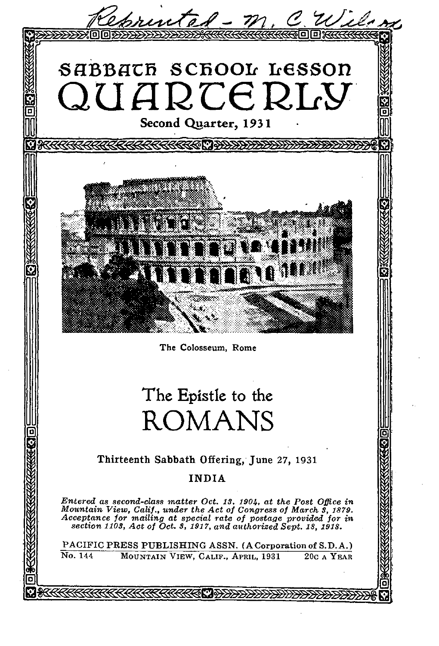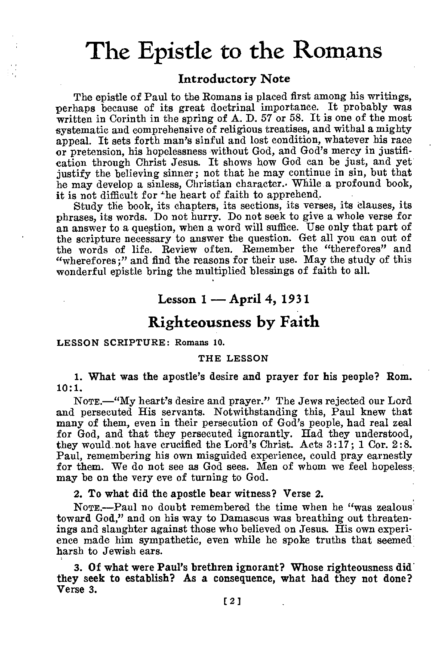# The Epistle to the Romans

#### **Introductory Note**

The epistle of Paul to the Romans is placed first among his writings, perhaps because of its great doctrinal importance. It probably was written in Corinth in the spring of A. D. 57 or 58. It is one of the most systematic and comprehensive of religious treatises, and withal a mighty appeal. It sets forth man's sinful and lost condition, whatever his race or pretension, his hopelessness without God, and God's mercy in justification through Christ Jesus. It shows how God can be just, and yet justify the believing sinner; not that he may continue in sin, but that he may develop a sinless, Christian character.. While a profound book, it is not difficult for the heart of faith to apprehend.

Study the book, its chapters, its sections, its verses, its clauses, its phrases, its words. Do not hurry. Do not seek to give a whole verse for an answer to a question, when a word will suffice. Use only that part of the scripture necessary to answer the question. Get all you can out of the words of life. Review often. Remember the "therefores" and "wherefores;" and find the reasons for their use. May the study of this wonderful epistle bring the multiplied blessings of faith to all.

## **Lesson 1 — April 4, 1931**

## **Righteousness by Faith**

#### LESSON SCRIPTURE: Romans 10.

#### THE LESSON

1. What was the apostle's desire and prayer for his people? Rom. 10:1.

NOTE.—"My heart's desire and prayer." The Jews rejected our Lord and persecuted His servants. Notwithstanding this, Paul knew that many of them, even in their persecution of God's people, had real zeal for God, and that they persecuted ignorantly. Had they understood, they would not have crucified the Lord's Christ. Acts 3:17; 1 Cor. 2:8. Paul, remembering his own misguided experience, could pray earnestly for them. We do not see as God sees. Men of whom we feel hopeless, may be on the very eve of turning to God.

2. To what did the apostle bear witness? Verse 2.

NOTE.—Paul no doubt remembered the time when he "was zealous toward God," and on his way to Damascus was breathing out threatenings and slaughter against those who believed on Jesus. His own experience made him sympathetic, even while he spoke truths that seemed harsh to Jewish ears.

3. Of what were Paul's brethren ignorant? Whose righteousness did they seek to establish? As a consequence, what had they not done? Verse 3.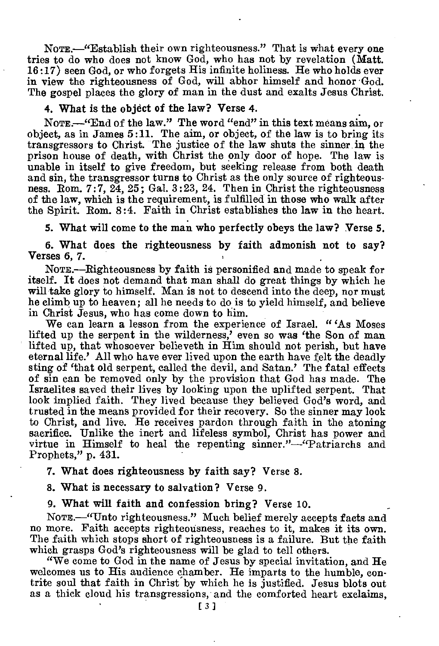NoTE.—"Establish their own righteousness." That is what every one tries to do who does not know God, who has not by revelation (Matt. 16:17) seen God, or who forgets His infinite holiness. He who holds ever in view the righteousness of God, will abhor himself and honor God. The gospel places the glory of man in the dust and exalts Jesus Christ.

#### 4. What is the object of the law? Verse 4.

NoTE.—"End of the law." The word "end" in this text means aim, or object, as in James 5:11. The aim, or object, of the law is to bring its transgressors to Christ. The justice of the law shuts the sinner in the prison house of death, with Christ the only door of hope. The law is unable in itself to give freedom, but seeking release from both death and sin, the transgressor turns to Christ as the only source of righteousness. Rom. 7:7, 24, 25; Gal. 3:23, 24. Then in Christ the righteousness of the law, which is the requirement, is fulfilled in those who walk after the Spirit. Rom. 8:4. Faith in Christ establishes the law in the heart.

5. What will come to the man who perfectly obeys the law? Verse 5.

6. What does the righteousness by faith admonish not to say? Verses 6, 7.

NoTE.—Righteousness by faith is personified and made to speak for itself. It does not demand that man shall do great things by which he will take glory to himself. Man is not to descend into the deep, nor must he climb up to heaven; all he needs to do is to yield himself, and believe in Christ Jesus, who has come down to him.

We can learn a lesson from the experience of Israel. " 'As Moses lifted up the serpent in the wilderness,' even so was 'the Son of man lifted up, that whosoever believeth in Him should not perish, but have eternal life.' All who have ever lived upon the earth have felt the deadly sting of 'that old serpent, called the devil, and Satan.' The fatal effects of sin can be removed only by the provision that God has made. The Israelites saved their lives by looking upon the uplifted serpent. That look implied faith. They lived because they believed God's word, and trusted in the means provided for their recovery. So the sinner may look to Christ, and live. He receives pardon through faith in the atoning sacrifice. Unlike the inert and lifeless symbol, Christ has power and virtue in Himself to heal the repenting sinner."—"Patriarchs and Prophets," p. 431.

7. What does righteousness by faith say? Verse 8.

8. What is necessary to salvation? Verse 9.

9. What will faith and confession bring? Verse 10.

NOTE.—"Unto righteousness." Much belief merely accepts facts and no more. Faith accepts righteousness, reaches to it, makes it its own. The faith which stops short of righteousness is a failure. But the faith which grasps God's righteousness will be glad to tell others.

"We come to God in the name of Jesus by special invitation, and He welcomes us to His audience chamber. He imparts to the humble, contrite soul that faith in Christ by which he is justified. Jesus blots out as a thick cloud his transgressions, and the comforted heart exclaims,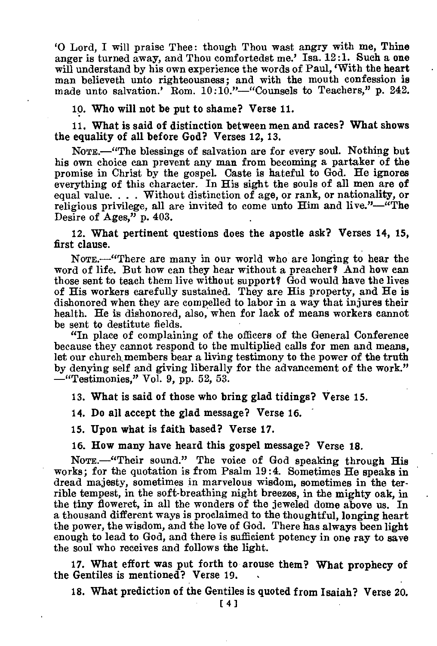`0 Lord, I will praise Thee: though Thou wast angry with me, Thine anger is turned away, and Thou comfortedst me.' Isa. 12:1. Such a one will understand by his own experience the words of Paul, 'With the heart man believeth unto righteousness; and with the mouth confession is made unto salvation.' Rom. 10:10."-"Counsels to Teachers," p. 242.

10. Who will not be put to shame? Verse 11.

11. What is said of distinction between men and races? What shows the equality of all before God? Verses 12, 13.

NOTE.—"The blessings of salvation are for every soul. Nothing but his own choice can prevent any man from becoming a partaker of the promise in Christ by the gospel. Caste is hateful to God. He ignores everything of this character. In His sight the souls of all men are of equal value. . . . Without distinction of age, or rank, or nationality, or religious privilege, all are invited to come unto Him and live."—"The Desire of Ages," p. 403.

12. What pertinent questions does the apostle ask? Verses 14, 15, first clause.

NomE.—"There are many in our world who are longing to hear the word of life. But how can they hear without a preacher? And how can those sent to teach them live without support? God would have the lives of His workers carefully sustained. They are His property, and He is dishonored when they are compelled to labor in a way that injures their health. He is dishonored, also, when for lack of means workers cannot be sent to destitute fields.

"In place of complaining of the officers of the General Conference because they cannot respond to the multiplied calls for men and means, let our church, members bear a living testimony to the power of the truth by denying self and giving liberally for the advancement of the work." —"Testimonies," Vol. 9, pp. 52, 53.

13. 'What is said of those who bring glad tidings? Verse 15.

14. Do all accept the glad message? Verse 16.

15. Upon what is faith based? Verse 17.

16. How many have heard this gospel message? Verse 18.

NOTE.-"Their sound." The voice of God speaking through His works; for the quotation is from Psalm 19:4. Sometimes He speaks in dread majesty, sometimes in marvelous wisdom, sometimes in the terrible tempest, in the soft-breathing night breezes, in the mighty oak, in the tiny floweret, in all the wonders of the jeweled dome above us. In a thousand different ways is proclaimed to the thoughtful, longing heart the power, the wisdom, and the love of God. There has always been light enough to lead to God, and there is sufficient potency in one ray to save the soul who receives and follows the light.

17. What effort was put forth to arouse them? What prophecy of the Gentiles is mentioned? Verse 19. •

18. What prediction of the Gentiles is quoted from Isaiah? Verse 20.

[41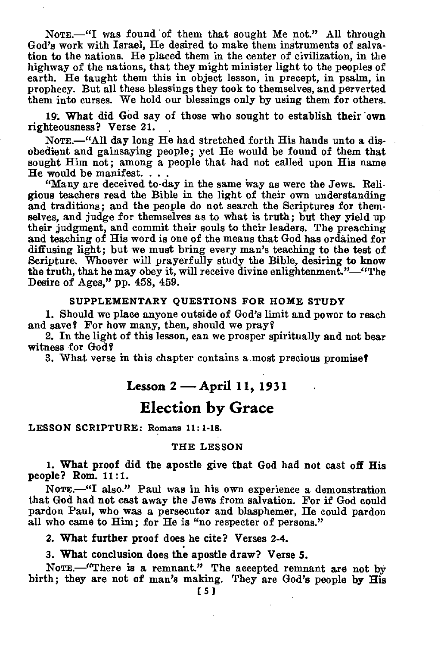NOTE.—"I was found of them that sought Me not." All through God's work with Israel, He desired to make them instruments of salvation to the nations. He placed them in the center of civilization, in the highway of the nations, that they might minister light to the peoples of earth. He taught them this in object lesson, in precept, in psalm, in prophecy. But all these blessings they took to themselves, and perverted them into curses. We hold our blessings only by using them for others.

19. What did God say of those who sought to establish their own righteousness? Verse 21.

NOTE.—"All day long He had stretched forth His hands unto a disobedient and gainsaying people; yet He would be found of them that sought Him not; among a people that had not called upon His name He would be manifest. . . .

"Many are deceived to-day in the same way as were the Jews. Religious teachers read the Bible in the light of their own understanding and traditions; and the people do not search the Scriptures for themselves, and judge for themselves as to what is truth; but they yield up their judgment, and commit their souls to their leaders. The preaching and teaching of His word is one of the means that God has ordained for diffusing light; but we must bring every man's teaching to the test of Scripture. Whoever will prayerfully study the Bible, desiring to know the truth, that he may obey it, will receive divine enlightenment."—"The Desire of Ages," pp. 458, 459.

#### **SUPPLEMENTARY QUESTIONS FOR HOME STUDY**

1. Should we place anyone outside of God's limit and power to reach and save? For how many, then, should we pray?

2. In the light of this lesson, can we prosper spiritually and not bear witness for God?

3. What verse in this chapter contains a most precious promise?

## **Lesson 2 — April 11, 1931**

## **Election by Grace**

**LESSON SCRIPTURE: Romans 11:1-18.** 

#### **THE LESSON**

1. What proof did the apostle give that God had not cast off His people? Rom. 11:1.

NOTE.—"I also." Paul was in his own experience a demonstration that God had not cast away the Jews from salvation. For if God could pardon Paul, who was a persecutor and blasphemer, He could pardon all who came to Him; for He is "no respecter of persons."

2. What **further** proof does he cite? Verses 2-4.

3. What conclusion does the apostle draw? Verse **5.** 

NOTE.—"There is a remnant." The accepted remnant are not by birth; they are not of man's making. They are God's people by His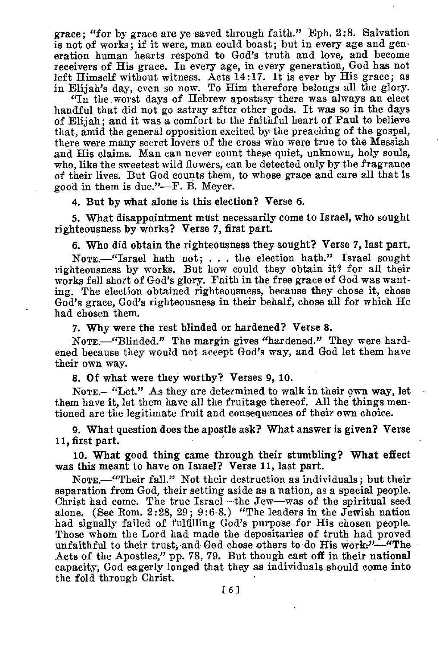grace; "for by grace are ye saved through faith." Eph. 2:8. Salvation is not of works; if it were, man could boast; but in every age and generation human hearts respond to God's truth and love, and become receivers of His grace. In every age, in every generation, God has not left Himself without witness. Acts 14:17. It is ever by His grace; as in Elijah's day, even so now. To Him therefore belongs all the glory.

"In the worst days of Hebrew apostasy there was always an elect handful that did not go astray after other gods. It was so in the days of Elijah; and it was a comfort to the faithful heart of Paul to believe that, amid the general opposition excited by the preaching of the gospel, there were many secret lovers of the cross who were true to the Messiah and His claims. Man can never count these quiet, unknown, holy souls, who, like the sweetest wild flowers, can be detected only by the fragrance of their lives. But God counts them, to whose grace and care all that is good in them is due."—F. B. Meyer.

4. But by what alone is this election? Verse 6.

5. What disappointment must necessarily come to Israel, who sought righteousness by works? Verse 7, first part.

6. Who did obtain the righteousness they sought? Verse 7, last part.

NoTE.—"Israel hath not; . . . the election hath." Israel sought righteousness by works. But how could they obtain it? for all their works fell short of God's glory. Faith in the free grace of God was wanting. The election obtained righteousness, because they chose it, chose God's grace, God's righteousness in their behalf, chose all for which He had chosen them.

7. Why were the rest blinded or hardened? Verse 8.

NOTE.—"Blinded." The margin gives "hardened." They were hardened because they would not accept God's way, and God let them have their own way.

8. Of what were they worthy? Verses 9, 10.

NOTE.—"Let." As they are determined to walk in their own way, let them have it, let them have all the fruitage thereof. All the things mentioned are the legitimate fruit and consequences of their own choice.

9. What question does the apostle ask? What answer is given? Verse 11, first part.

10. What good thing came through their stumbling? What effect was this meant to have on Israel? Verse 11, last part.

NoTE.—"Their fall." Not their destruction as individuals; but their separation from God, their setting aside as a nation, as a special people. Christ had come. The true Israel—the Jew—was of the spiritual seed alone. (See Rom. 2:28, 29; 9:6-8.) "The leaders in the Jewish nation had signally failed of fulfilling God's purpose for His chosen people. Those whom the Lord had made the depositaries of truth had proved unfaithful to their trust, and God chose others to do His work;"-"The Acts of the Apostles," pp. 78, 79. But though cast off in their national capacity; God eagerly longed that they as individuals should come into the fold through Christ.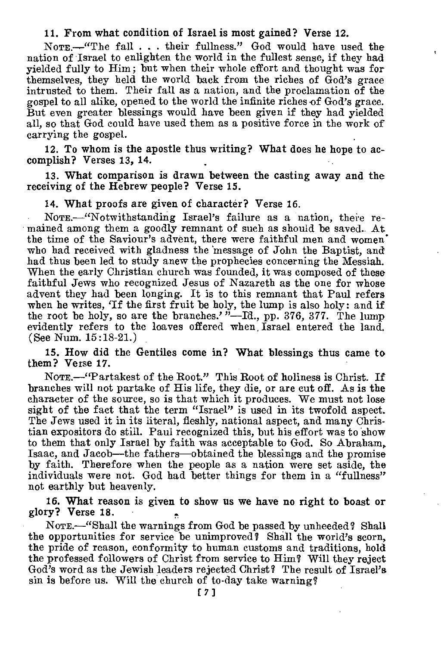#### **11. From what condition of Israel is most gained? Verse 12.**

NOTE.—"The fall . . . their fullness." God would have used the nation of Israel to enlighten the world in the fullest sense, if they had yielded fully to Him; but when their whole effort and thought was for themselves, they held the world back from the riches of God's grace intrusted to them. Their fall as a nation, and the proclamation of the gospel to all alike, opened to the world the infinite riches of God's grace. But even greater blessings would have been given if they had yielded all, so that God could have used them as a positive force in the work of carrying the gospel. •

**12. To whom is the apostle thus writing? What does he hope to accomplish? Verses 13, 14.** 

**13. What comparison is drawn between the casting away and** the **receiving of the Hebrew people? Verse 15.** 

**14. What proofs are given of character? Verse** 16.

NomE.—"Notwithstanding Israel's failure as a nation, there remained among them a goodly remnant of such as should be saved.. At the time of the Saviour's advent, there were faithful men and women. who had received with gladness the 'message of John the Baptist, and had thus been led to study anew the prophecies concerning the Messiah. When the early Christian church was founded, it was composed of these faithful Jews who recognized Jesus of Nazareth as the one for whose advent they had been longing. It is to this remnant that Paul refers when he writes, 'If the first fruit be holy, the lump is also holy: and **if the** root be holy, so are the branches.' "—Id., pp. 376, 377. The lump evidently refers to the loaves offered when Israel entered the land. (See Num. 15:18-21.)

**15. How did the Gentiles come in? What blessings thus came to them? Verse 17.** 

NOTE.—"Partakest of the Root." This Root of holiness is Christ. If branches will not partake of His life, they die, or are cut off. As is the character of the source, so is that which it produces. We must not lose sight of the fact that the term "Israel" is used in its twofold aspect. The Jews used it in its literal, fleshly, national aspect, and many Christian expositors do still. Paul recognized this, but his effort was to show to them that only Israel by faith was acceptable to God. So Abraham, Isaac, and Jacob—the fathers—obtained the blessings and the promise by faith. Therefore when the people as a nation were set aside, the individuals were not. God had better things for them in a "fullness" not earthly but heavenly.

**16. What reason is given to show us we have no right to boast or glory? Verse 18.** 

NoTE.—"Shall the warnings from God be passed by unheeded? Shall the opportunities for service be unimproved? Shall the world's scorn, the pride of reason, conformity to human customs and traditions, hold the professed followers of Christ from service to Him? Will they reject God's word as the Jewish leaders rejected Christ? The result of Israel's sin is before us. Will the church of to-day take warning?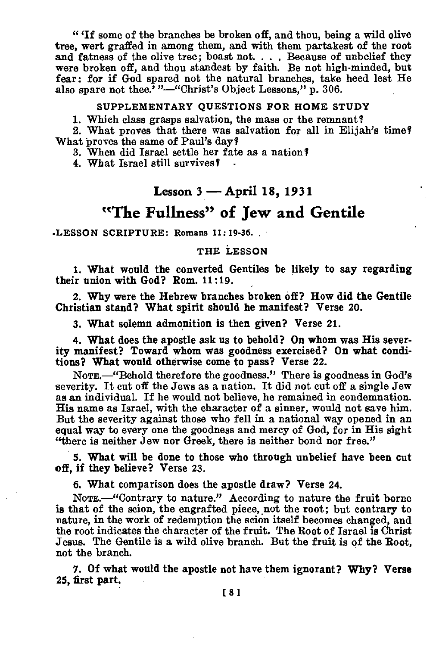" 'If some of the branches be broken off, and thou, being a wild olive tree, wert graffed in among them, and with them partakest of the root and fatness of the olive tree; boast not. . . . Because of unbelief they were broken off, and thou standest by faith. Be not high-minded, but fear: for if God spared not the natural branches, take heed lest He also spare not thee.' "-"Christ's Object Lessons," p. 306.

#### **SUPPLEMENTARY QUESTIONS FOR HOME STUDY**

1. Which class grasps salvation, the mass or the remnant?

2. What proves that there was salvation for all in Elijah's time? What proves the same of Paul's day?

3. When did Israel settle her fate as a nation?

4. What Israel still survives?

## **Lesson 3 — April 18, 1931**

## **"The Fullness" of Jew and Gentile**

**.LESSON SCRIPTURE: Romans 11 : 19-36.** 

#### **THE LESSON**

**1. What would the converted Gentiles be likely to say regarding their union with God? Rom. 11:19.** 

**2. Why were the Hebrew branches broken off? How did the Gentile Christian stand? What spirit should he manifest? Verse 20.** 

**3. What solemn admonition is then given? Verse 21.** 

**4. What does the apostle ask us to behold? On whom was His severity manifest? Toward whom was goodness exercised? On what conditions? What would otherwise come to pass? Verse 22.** 

**NOTE. "Behold** therefore the goodness." There is goodness in God's severity. It cut off the Jews as a nation. It did not cut off a single Jew as an individual. If he would not believe, he remained in condemnation. His name as Israel, with the character of a sinner, would not save him. But the severity against those who fell in a national way opened in an equal way to every one the goodness and mercy of God, for in His sight "there is neither Jew nor Greek, there is neither bond nor free."

**5. What will be done to those who through unbelief have been cut off, if they believe? Verse 23.** 

**6. What comparison does the apostle draw? Verse 24.** 

**NOTE.—"Contrary** to nature." According to nature the fruit borne is that of the scion, the engrafted piece, not the root; but contrary to nature, in the work of redemption the scion itself becomes changed, and the root indicates the character of the fruit. The Root of Israel is Christ Jesus. The Gentile is a wild olive branch. But the fruit is of the Root, not the branch.

7. Of **what would the apostle not have them ignorant? Why? Verse 25, first part.**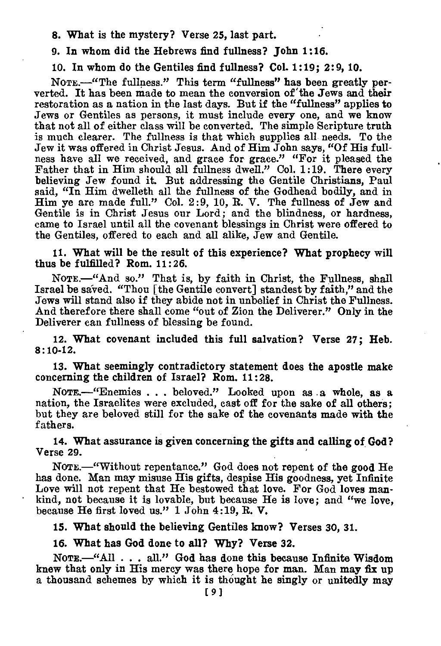8. What is the mystery? Verse 25, last part.

9. In whom did the Hebrews find fullness? John 1:16.

10. In whom do the Gentiles find fullness? Col. 1:19; 2:9, 10.

NomE.—"The fullness." This term "fullness" has been greatly perverted. It has been made to mean the conversion of 'the Jews and their restoration as a nation in the last days. But if the "fullness" applies to Jews or Gentiles as persons, it must include every one, and we know that not all of either class will be converted. The simple Scripture truth is much clearer. The fullness is that which supplies all needs. To the Jew it was offered in Christ Jesus. And of Him John says, "Of His fullness have all we received, and grace for grace." "For it pleased the Father that in Him should all fullness dwell." Col. 1:19. There every believing Jew found it. But addressing the Gentile Christians, Paul said, "In Him dwelleth all the fullness of the Godhead bodily, and in Him ye are made full." Col. 2:9, 10, R. V. The fullness of Jew and Gentile is in Christ Jesus our Lord; and the blindness, or hardness, came to Israel until all the covenant blessings in Christ were offered to the Gentiles, offered to each and all alike, Jew and Gentile.

11. What will be the result of this experience? What prophecy will thus be fulfilled? Rom. 11:26.

NOTE.—"And so." That is, by faith in Christ, the Fullness, shall Israel be saved. "Thou [the Gentile convert] standest by faith," and the Jews will stand also if they abide not in unbelief in Christ the Fullness. And therefore there shall come "out of Zion the Deliverer." Only in the Deliverer can fullness of blessing be found.

12. What covenant included this full salvation? Verse 27; Heb. 8:10-12.

13. What seemingly contradictory statement does the apostle make concerning the children of Israel? Rom. 11:28.

NoTE.—"Enemies . . . beloved." Looked upon as a whole, as a nation, the Israelites were excluded, cast off for the sake of all others; but they are beloved still for the sake of the covenants made with the fathers.

14. What assurance is given concerning the gifts and calling of God? Verse 29.

NOTE.—"Without repentance." God does not repent of the good He has done. Man may misuse His gifts, despise His goodness, yet Infinite Love will not repent that He bestowed that love. For God loves mankind, not because it is lovable, but because He is love; and "we love, because He first loved us." 1 John 4:19, R. V.

15. What should the believing Gentiles know? Verses 30, 31.

16. What has God done to all? Why? Verse 32.

NoTE.—"All . . . all." God has done this because Infinite Wisdom knew that only in His mercy was there hope for man. Man may fix up a thousand schemes by which it is thought he singly or unitedly may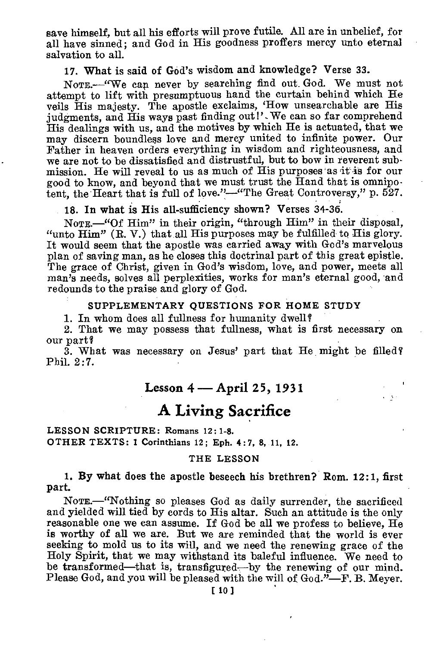save himself, but all his efforts will prove futile. All are in unbelief, for all have sinned; and God in His goodness proffers mercy unto eternal salvation to all.

17. What is said of God's wisdom and knowledge? Verse 33.

NomE.—"We cap never by searching find out. God. We must not attempt to lift with presumptuous hand the curtain behind which He veils His majesty. The apostle exclaims, 'How unsearchable are His judgments, and His ways past finding out!'. We can so far comprehend His dealings with us, and the motives by which He is actuated, that we may discern boundless love and mercy united to infinite power. Our Father in heaven orders everything in wisdom and righteousness, and we are not to be dissatisfied and distrustful, but to bow in reverent submission. He will reveal to us as much of His purposes as it is for our good to know, and beyond that we must trust the Hand that is omnipotent, the Heart that is full of love."—"The Great Controversy," p. 527.

18. In what **is** His all-sufficiency shown? Verses 34-36.

NOTE.—"Of Him" in their origin, "through Him" in their disposal, "unto  $\text{Him}$ " (R. V.) that all  $\text{His}$  purposes may be fulfilled to  $\text{His}$  glory. It would seem that the apostle was carried away with God's marvelous plan of saving man, as he closes this doctrinal part of this great epistle. The grace of Christ, given in God's wisdom, love, and power, meets all man's needs, solves all perplexities, works for man's eternal good, and redounds to the praise and glory of God.

#### **SUPPLEMENTARY QUESTIONS FOR HOME STUDY**

1. In whom does all fullness for humanity dwell'

2. That we may possess that fullness, what is first necessary on our part'

3. What was necessary on Jesus' part that He might be filled' Phil. 2:7.

### **Lesson 4 — April 25, 1931**

viligo.

## **A Living Sacrifice**

**LESSON SCRIPTURE: Romans** 12: **1-8. OTHER TEXTS: 1 Corinthians 12; Eph. 4:7, 8, 11, 12.** 

#### **THE LESSON**

1. **By what does the apostle beseech his brethren? Rom. 12:1, first part.** 

**NoTE.—"Nothing** so pleases God as daily surrender, the sacrificed and yielded will tied by cords to His altar. Such an attitude is the only reasonable one we can assume. If God be all we profess to believe, He is worthy of all we are. But we are reminded that the world is ever seeking to mold us to its will, and we need the renewing grace of the Holy Spirit, that we may withstand its baleful influence. We need to be transformed—that is, transfigured—by the renewing of our mind. Please God, and you will be pleased with the will of God."-F. B. Meyer.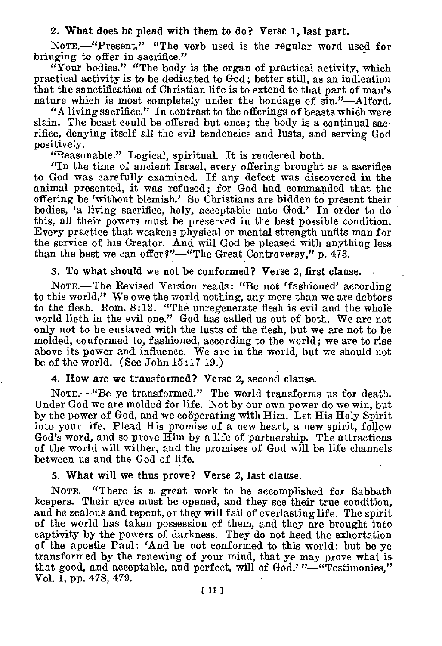#### 2. What does he plead with them to do? Verse 1, last part.

NOTE.—"Present." "The verb used is the regular word used for bringing to offer in sacrifice."

"Your bodies." "The body is the organ of practical activity, which practical activity is to be dedicated to God; better still, as an indication that the sanctification of Christian life is to extend to that part of man's nature which is most completely under the bondage of sin."—Alford.

"A living sacrifice." In contrast to the offerings of beasts which were slain. The beast could be offered but once; the body is a continual sacrifice, denying itself all the evil tendencies and lusts, and serving God positively.

"Reasonable." Logical, spiritual. It is rendered both.

"In the time of ancient Israel, every offering brought as a sacrifice to God was carefully examined. If any defect was discovered in the animal presented, it was refused; for God had commanded that the offering be 'without blemish.' So Christians are bidden to present their bodies, 'a living sacrifice, holy, acceptable unto God.' In order to do this, all their powers must be preserved in the best possible condition. Every practice that weakens physical or mental strength unfits man for the service of his Creator. And will God be pleased with anything less than the best we can offer?"—"The Great Controversy," p. 473.

### 3. To what should we not be conformed? Verse 2, first clause.

Norz.—The Revised Version reads: "Be not 'fashioned' according to this world." We owe the world nothing, any more than we are debtors to the flesh. Rom. 8:12. "The unregenerate flesh is evil and the whole world lieth in the evil one." God has called us out of both. We are not only not to be enslaved with the lusts of the flesh, but we are not to be molded, conformed to, fashioned, according to the world; we are to rise above its power and influence. We are in the world, but we should not be of the world. (See John 15:17-19.)

#### 4. How are we transformed? Verse 2, second clause.

NOTE.—"Be ye transformed." The world transforms us for death. Under God we are molded for life. Not by our own power do we win, but by the power of God, and we cooperating with Him. Let His Holy Spirit into your life. Plead His promise of a new heart, a new spirit, follow God's word, and so prove Him by a life of partnership. The attractions of the world will wither, and the promises of God will be life channels between us and the God of life.

### 5. What will we thus prove? Verse 2, last clause.

NOTE.—"There is a great work to be accomplished for Sabbath keepers. Their eyes must be opened, and they see their true condition, and be zealous and repent, or they will fail of everlasting life. The spirit of the world has taken possession of them, and they are brought into captivity by the powers of darkness. They do not heed the exhortation of the apostle Paul: 'And be not conformed to this world: but be ye transformed by the renewing of your mind, that ye may prove what is that good, and acceptable, and perfect, will of God.' "—"Testimonies," Vol. 1, pp. 478, 479.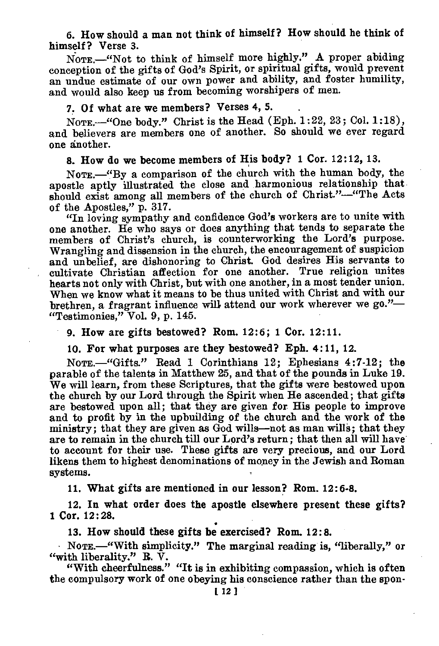6. How should a man not think of himself? How should he think of himself? Verse 3.

NOTE.—"Not to think of himself more highly." A proper abiding conception of the gifts of God's Spirit, or spiritual gifts, would prevent an undue estimate of our own power and ability, and foster humility, and would also keep us from becoming worshipers of men.

## 7. Of what are we members? Verses 4, 5.

NOTE.—"One body." Christ is the Head (Eph. 1:22, 23; Col. 1:18), and believers are members one of another. So should we ever regard one another.

### 8. How do we become members of His body? 1 Cor. 12:12, 13.

NoTE.—"By a comparison of the church with the human body, the apostle aptly illustrated the close and harmonious relationship that should exist among all members of the church of Christ."—"The Acts of the Apostles," p. 317.

"In loving sympathy and confidence God's workers are to unite with one another. He who says or does anything that tends to separate the members of Christ's church, is counterworking the Lord's purpose. Wrangling and dissension in the church, the encouragement of suspicion and unbelief, are dishonoring to Christ. God desires His servants to cultivate Christian affection for one another. True religion unites hearts not only with Christ, but with one another, in a most tender union. When we know what it means to be thus united with Christ and with our brethren, a fragrant influence will attend our work wherever we go."— "Testimonies," Vol. 9, p. 145.

9. How are gifts bestowed? Rom. 12:6; 1 Cor. 12:11.

10. For what purposes are they bestowed? Eph. 4:11, 12.

NOTE.—"Gifts." Read 1 Corinthians 12; Ephesians 4:7-12; the parable of the talents in Matthew 25, and that of the pounds in Luke 19. We will learn, from these Scriptures, that the gifts were bestowed upon the church by our Lord through the Spirit when He ascended; that gifts are bestowed upon all; that they are given for. His people to improve and to profit by in the upbuilding of the church and the work of the ministry; that they are given as God wills—not as man wills; that they are to remain in the church till our Lord's return; that then all will have to account for their use. These gifts are very precious, and our Lord likens them to highest denominations of money in the Jewish and Roman systems.

11. What gifts are mentioned in our lesson? Rom. 12:6-8.

12. In what order does the apostle elsewhere present these gifts? 1 Cor. 12:28.

13. How should these gifts be exercised? Rom. 12:8.

NoTx.—"With simplicity." The marginal reading is, "liberally," or "with liberality."  $\mathbf{R}$ .  $\bar{\mathbf{V}}$ .

"With cheerfulness." "It is in exhibiting compassion, which is often the compulsory work of one obeying his conscience rather than the spou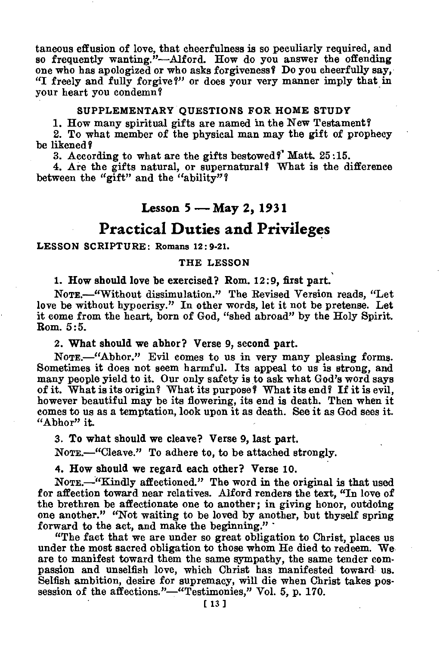taneous effusion of love, that cheerfulness is so peculiarly required, and so frequently wanting."—Alford. How do you answer the offending one who has apologized or who asks forgiveness? Do you cheerfully say, "I freely and fully forgive?" or does your very manner imply that in your heart you condemn?

#### SUPPLEMENTARY QUESTIONS **FOR. HOME STUDY**

1. How many spiritual gifts are named in the New Testament?

2. To what member of the physical man may the gift of prophecy be likened?

3. According to what are the gifts bestowed?' Matt. 25:15.

4. Are the gifts natural, or supernatural? What is the difference between the "gift" and the "ability"?

### **Lesson 5 — May 2, 1931**

## **Practical Duties and Privileges**

#### **LESSON** SCRIPTURE: Romans 12 : 9-21.

#### THE LESSON

1. How should love be exercised? Rom. 12:9, first part.

NomE.—"Without dissimulation." The Revised Version reads, "Let love be without hypocrisy." In other words, let it not be pretense. Let it come from the heart, born of God, "shed abroad" by the Holy Spirit. Rom. 5:5.

**2. What should we abhor? Verse 9, second part.** 

NOTE.-"Abhor." Evil comes to us in very many pleasing forms. Sometimes it does not seem harmful. Its appeal to us is strong, and many people yield to it. Our only safety is to ask what God's word says of it. What is its origin? What its purpose? What its end? If it is evil, however beautiful may be its flowering, its end is death. Then when it comes to us as a temptation, look upon it as death. See it as God sees it. "Abhor" it.

**3. To what should we cleave? Verse 9, last part.** 

NomE.—"Cleave." To adhere to, to be attached strongly.

**4. How should we regard each other? Verse 10.** 

NOTE.—"Kindly affectioned." The word in the original is that used for affection toward near relatives. Alford renders the text, "In love of the brethren be affectionate one to another; in giving honor, outdoing one another." "Not waiting to be loved by another, but thyself spring forward to the act, and make the beginning." -

"The fact that we are under so great obligation to Christ, places us under the most sacred obligation to those whom He died to redeem. We are to manifest toward them the same sympathy, the same tender compassion and unselfish love, which Christ has manifested toward us. Selfish ambition, desire for supremacy, will die when Christ takes possession of the affections."—"Testimonies," Vol. 5, p. 170.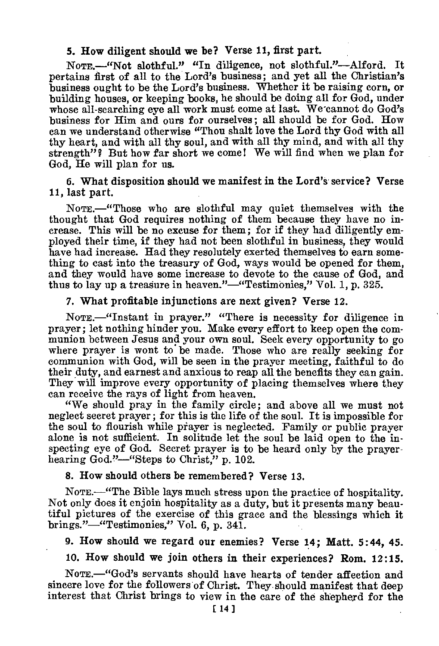#### 5. How diligent should we be? Verse 11, first part.

NoTE.—"Not slothful." "In diligence, not slothful."—Alford. It pertains first of all to the Lord's business; and yet all the Christian's business ought to be the Lord's business. Whether it be raising corn, or building houses, or keeping books, he should be doing all for God, under whose all-searching eye all work must come at last. We cannot do God's business for Him and ours for ourselves; all should be for God. How can we understand otherwise "Thou shalt love the Lord thy God with all thy heart, and with all thy soul, and with all thy mind, and with all thy strength"? But how far short we come! We will find when we plan for God, He will plan for us.

6. What disposition should we manifest in the Lord's service? Verse 11, last part.

NOTE.—"Those who are slothful may quiet themselves with the thought that God requires nothing of them because they have no increase. This will be no excuse for them; for if they had diligently employed their time, if they had not been slothful in business, they would have had increase. Had they resolutely exerted themselves to earn something to cast into the treasury of God, ways would be opened for them, and they would have some increase to devote to the cause of God, and thus to lay up a treasure in heaven."—"Testimonies," Vol. 1, p. 325.

#### 7. What profitable injunctions are next given? Verse 12.

NOTE.—"Instant in prayer." "There is necessity for diligence in prayer; let nothing hinder you. Make every effort to keep open the communion between Jesus and your own soul. Seek every opportunity to go where prayer is wont to be made. Those who are really seeking for communion with God, will be seen in the prayer meeting, faithful to do their duty, and earnest and anxious to reap all the benefits they can gain. They will improve every opportunity of placing themselves where they can receive the rays of light from heaven.

"We should pray in the family circle; and above all we must not neglect secret prayer; for this is the life of the soul. It is impossible for the soul to flourish while pfayer is neglected. Family or public prayer alone is not sufficient. In solitude let the soul be laid open to the inspecting eye of God. Secret prayer is to be heard only by the prayerhearing God."—"Steps to Christ," p. 102.

### 8. How should others be remembered? Verse 13.

NOTE.—"The Bible lays much stress upon the practice of hospitality. Not only does it enjoin hospitality as a duty, but it presents many beautiful pictures of the exercise of this grace and the blessings which it brings."—"Testimonies," Vol. 6, p. 341.

9. How should we regard our enemies? Verse 14; Matt. 5:44, 45.

10. How should we join others in their experiences? Rom. 12:15.

NOTE.—"God's servants should have hearts of tender affection and sincere love for the followers of Christ. They should manifest that deep interest that Christ brings to view in the care of the shepherd for the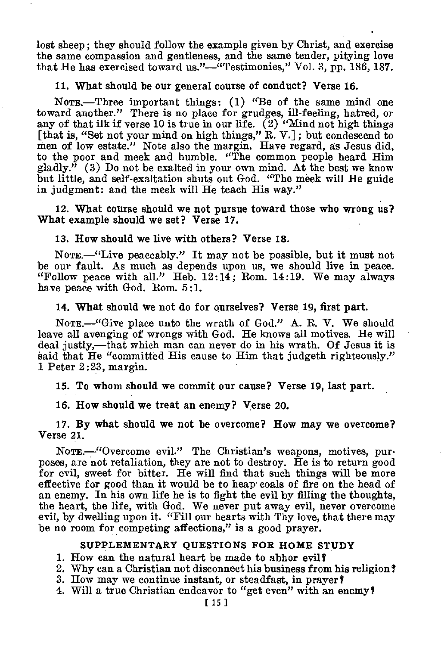lost sheep; they should follow the example given by Christ, and exercise the same compassion and gentleness, and the same tender, pitying love that He has exercised toward us."—"Testimonies," Vol. 3, pp. 186, 187.

#### 11. What **should be our general course of conduct? Verse** 16.

NOTE.—Three important things: (1) "Be of the same mind one toward another." There is no place for grudges, ill-feeling, hatred, or any of that ilk if verse 10 is true in our life.  $(2)$  "Mind not high things [that is, "Set not your mind on high things," R. V.] ; but condescend to men of low estate." Note also the margin. Have regard, as Jesus did, to the poor and meek and humble. "The common people heard Him gladly." (3) Do not be exalted in your own mind. At the best we know but little, and self-exaltation shuts out God. "The meek will He guide in judgment: and the meek will He teach His way."

12. What **course should we not pursue toward those who wrong us? What example should we set? Verse 17.** 

#### **13. How should we live with others? Verse 18.**

NOTE.—"Live peaceably." It may not be possible, but it must not be our fault. As much as depends upon us, we should live in peace. "Follow peace with all." Heb. 12:14; Rom. 14:19. We may always have peace with God. Rom. 5:1.

#### **14. What should we not do for ourselves? Verse 19, first part.**

NoTE.—"Give place unto the wrath of God." A. R. V. We should leave all avenging of wrongs with God. He knows all motives. He will deal justly,—that which man can never do in his wrath. Of Jesus it is said that He "committed His cause to Him that judgeth righteously." 1 Peter 2:23, margin.

**15. To whom should we commit our cause? Verse 19, last part.** 

**16. How should we treat an enemy? Verse 20.** 

**17. By what should we not be overcome? How may we overcome? Verse** 21.

NoTE.—"Overcome evil." The Christian's weapons, motives, purposes, are not retaliation, they are not to destroy. He is to return good for evil, sweet for bitter. He will find that such things will be more effective for good than it would be to heap coals of fire on the head of an enemy. In his own life he is to fight the evil by filling the thoughts, the heart, the life, with God. We never put away evil, never overcome evil, by dwelling upon it. "Fill our hearts with Thy love, that there may be no room for competing affections," is a good prayer.

#### **SUPPLEMENTARY QUESTIONS FOR HOME STUDY**

1. How can the natural heart be made to abhor evil?

2. Why can a Christian not disconnect his business from his religion?

3. How may we continue instant, or steadfast, in prayer?

4. Will a true Christian endeavor to "get even" with an enemy?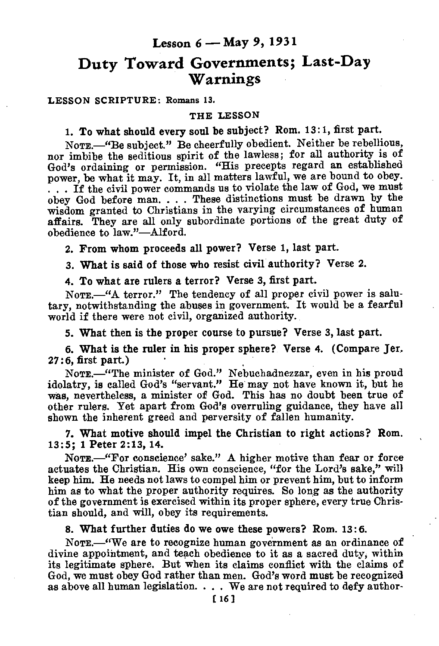## Lesson 6 — May 9, 1931

## **Duty Toward Governments; Last-Day Warnings**

**LESSON SCRIPTURE: Romans 13.** 

#### **THE LESSON**

1. To what should every soul be subject? Rom. 13:1, first part.

NOTE.—"Be subject." Be cheerfully obedient. Neither be rebellious, nor imbibe the seditious spirit of the lawless; for all authority is of God's ordaining or permission. "His precepts regard an established power, be what it may. It, in all matters lawful, we are bound to obey. . . . If the civil power commands us to violate the law of God, we must obey God before man. . . . These distinctions must be drawn by the wisdom granted to Christians in the varying circumstances of human affairs. They are all only subordinate portions of the great duty of obedience to law."—Alford.

2. From whom proceeds all power? Verse 1, last part.

3. What is said of those who resist civil authority? Verse 2.

4. To what are rulers a terror? Verse 3, first part.

NOTE.—"A terror." The tendency of all proper civil power is salutary, notwithstanding the abuses in government. It would be a fearful world if there were not civil, organized authority.

5. What then is the proper course to pursue? Verse 3, last part.

6. What is the ruler in his proper sphere? Verse 4. (Compare Jer. 27:6, first part.)

NOTE.—"The minister of God." Nebuchadnezzar, even in his proud idolatry, is called God's "servant." He may not have known it, but he was, nevertheless, a minister of God. This has no doubt been true of other rulers. Yet apart from God's overruling guidance, they have all shown the inherent greed and perversity of fallen humanity.

7. What motive should impel the Christian to right actions? Rom. 13:5; 1 Peter 2:13, 14.

NOTE.—"For conscience' sake." A higher motive than fear or force actuates the Christian. His own conscience, "for the Lord's sake," will keep him. He needs not laws to compel him or prevent him, but to inform him as to what the proper authority requires. So long as the authority of the government is exercised within its proper sphere, every true Christian should, and will, obey its requirements.

8. What further duties do we owe these powers? Rom. 13:6.

NOTE.—"We are to recognize human government as an ordinance of divine appointment, and teach obedience to it as a sacred duty, within its legitimate sphere. But when its claims conflict with the claims of God, we must obey God rather than men. God's word must be recognized as above all human legislation.  $\ldots$ . We are not required to defy author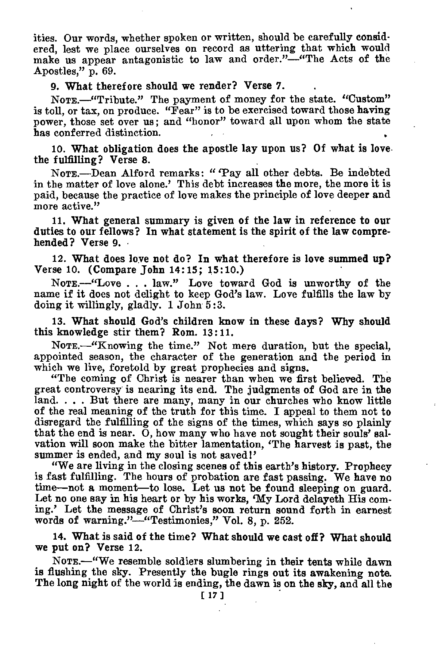ities. Our words, whether spoken or written, should be carefully considered, lest we place ourselves on record as uttering that which would make us appear antagonistic to law and order."—"The Acts of the Apostles," p. 69.

#### 9. What therefore should we render? Verse 7.

NOTE.—"Tribute." The payment of money for the state. "Custom" is toll, or tax, on produce. "Fear" is to be exercised toward those having power, those set over us; and "honor" toward all upon whom the state has conferred distinction.

10. What obligation does the apostle lay upon us? Of what is love the fulfilling? Verse 8.

NOTE.—Dean Alford remarks: " 'Pay all other debts. Be indebted in the matter of love alone.' This debt increases the more, the more it is paid, because the practice of love makes the principle of love deeper and more active."

11. What general summary is given of the law in reference to our duties to our fellows? In what statement is the spirit of the law comprehended? Verse 9. •

12. What does love not do? In what therefore is love summed up? Verse 10. (Compare John 14:15; 15:10.)

NOTE.—"Love . . . law." Love toward God is unworthy of the name if it does not delight to keep God's law. Love fulfills the law by doing it willingly, gladly. 1 John 5 :3.

13. What should God's children know in these days? Why should this knowledge stir them? Rom. 13:11.

NOTE.—"Knowing the time." Not mere duration, but the special, appointed season, the character of the generation and the period in which we live, foretold by great prophecies and signs.

"The coming of Christ is nearer than when we first believed. The great controversy is nearing its end. The judgments of God are in the land. . . . But there are many, many in our churches who know little of the real meaning of the truth for this time. I appeal to them not to disregard the fulfilling of the signs of the times, which says so plainly that the end is near. 0, how many who have not sought their souls' salvation will soon make the bitter lamentation, 'The harvest is past, the summer is ended, and my soul is not saved!'

"We are living in the closing scenes of this earth's history. Prophecy is fast fulfilling. The hours of probation are fast passing. We have no time—not a moment—to lose. Let us not be found sleeping on guard. Let no one say in his heart or by his works, 'My Lord delayeth His coming.' Let the message of Christ's soon return sound forth in earnest words of warning."—"Testimonies," Vol. 8, p. 252.

14. What is said of the time? What should we cast off? What should we put on? Verse 12.

NOTE.—"We resemble soldiers slumbering in their tents while dawn is flushing the sky. Presently the bugle rings out its awakening note. The long night of the world is ending, the dawn is on the sky, and all the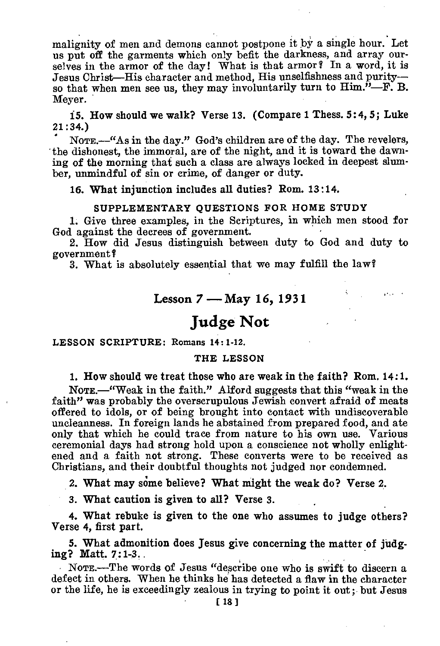malignity of men and demons cannot postpone it by a single hour. Let us put off the garments which only befit the darkness, and array ourselves in the armor of the day! What is that armor? In a word, it is Jesus Christ—His character and method, His unselfishness and purity so that when men see us, they may involuntarily turn to  $\text{Him.}^{\hat{\textit{\i}}}-\text{F.}$  B. Meyer.

15. How should we walk? Verse 13. (Compare 1 Thess. 5:4, 5; Luke 21:34.)

• NOTE.—"As in the day." God's children are of the day. The revelers, the dishonest, the immoral, are of the night, and it is toward the dawning of the morning that such a class are always locked in deepest slumber, unmindful of sin or crime, of danger or duty.

16. What injunction includes all duties? Rom. 13:14.

#### SUPPLEMENTARY QUESTIONS FOR HOME STUDY

1. Give three examples, in the Scriptures, in which men stood for God against the decrees of government.

2. How did Jesus distinguish between duty to God and duty to government?

3. What is absolutely essential that we may fulfill the law?

### Lesson 7 — May 16, 1931

and the

## **Judge Not**

#### LESSON SCRIPTURE: Romans 14 : 1-12.

#### THE LESSON

1. How should we treat those who are weak in the faith? Rom. 14:1.

NOTE.—"Weak in the faith." Alford suggests that this "weak in the faith" was probably the overscrupulous Jewish convert afraid of meats offered to idols, or of being brought into contact with undiscoverable uncleanness. In foreign lands he abstained from prepared food, and ate only that which he could trace from nature to his own use. Various ceremonial days had strong hold upon a conscience not wholly enlightened and a faith not strong. These converts were to be received as Christians, and their doubtful thoughts not judged nor condemned.

2. What may some believe? What might the weak do? Verse 2.

3. What caution is given to all? Verse 3.

4. What rebuke is given to the one who assumes to judge others? Verse 4, first part.

5. What admonition does Jesus give concerning the matter of judging? Matt. 7:1-3..

NOTE.—The words of Jesus "describe one who is swift to discern a defect in others. When he thinks he has detected a flaw in the character or the life, he is exceedingly zealous in trying to point it out ; but Jesus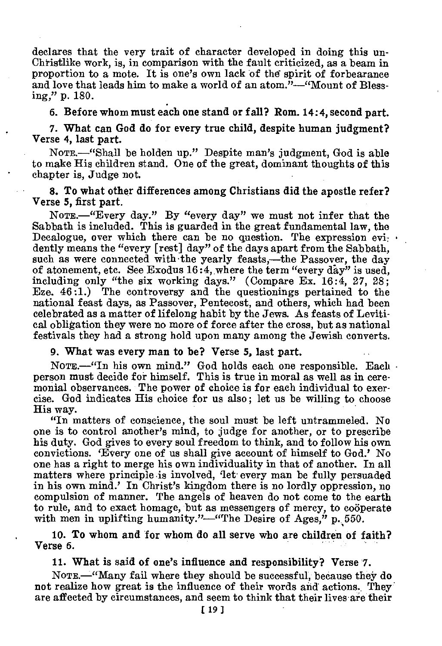declares that the very trait of character developed in doing this un-Christlike work, is, in comparison with the fault criticized, as a beam in proportion to a mote. It is one's own lack of the' spirit of forbearance and love that leads him to make a world of an atom."—"Mount of Blessing," p. 180.

6. Before whom must each one stand or fall? Rom. 14:4, second part.

7. What can God do for every true child, despite human judgment? Verse 4, last part.

NOTE.—"Shall be holden up." Despite man's judgment, God is able to make His children stand. One of the great, dominant thoughts of this chapter is, Judge not.

8. To what other differences among Christians did the apostle refer? Verse 5, first part.

NomE.—"Every day." By "every day" we must not infer that the Sabbath is included. This is guarded in the great fundamental law, the Decalogue, over which there can be no question. The expression evidently means the "every [rest] day" of the days apart from the Sabbath, such as were connected with the yearly feasts,—the Passover, the day of atonement, etc. See Exodus 16:4, where the term "every day" is used, including only "the six working days." (Compare Ex. 16:4, 27, 28; Eze. 46:1.) The controversy and the questionings pertained to the national feast days, as Passover, Pentecost, and others, which had been celebrated as a matter of lifelong habit by the Jews. As feasts of Levitical obligation they were no more of force after the cross, but as national festivals they had a strong hold upon many among the Jewish converts.

#### 9. What was every man to be? Verse 5, last part.

NOTE.—"In his own mind." God holds each one responsible. Each person must decide for himself. This is true in moral as well as in ceremonial observances. The power of choice is for each individual to exercise. God indicates His choice for us also; let us be willing to choose His way.

"In matters of conscience, the soul must be left untrammeled. No one is to control another's mind, to judge for another, or to prescribe his duty. God gives to every soul freedom to think, and to follow his own convictions. 'Every one of us shall give account of himself to God.' No one has a right to merge his own individuality in that of another. In all matters where principle •is involved, 'let every man be fully persuaded in his own mind.' In Christ's kingdom there is no lordly oppression, no compulsion of manner. The angels of heaven do not come to the earth to rule, and to exact homage, but as messengers of mercy, to cooperate with men in uplifting humanity."—"The Desire of Ages," p. 550.

10. To whom and for whom do all serve who are children of faith? Verse 6.

11. What is said of one's influence and responsibility? Verse 7.

NOTE.—"Many fail where they should be successful, because they do not realize how great is the influence of their words and actions. They are affected by circumstances, and seem to think that their lives are their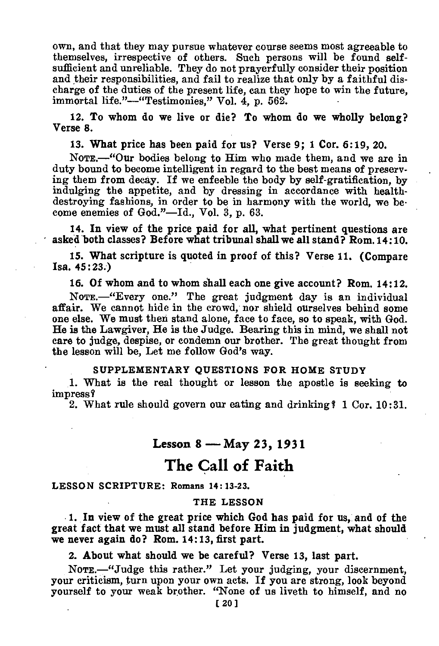own, and that they may pursue whatever course seems most agreeable to themselves, irrespective of others. Such persons will be found selfsufficient and unreliable. They do not prayerfully consider their position and their responsibilities, and fail to realize that only by a faithful discharge of the duties of the present life, can they hope to win the future, immortal life."—"Testimonies," Vol. 4, p. 562.

12. To whom do we live or die? To whom do we wholly belong? Verse 8.

13. What price has been paid for us? Verse 9; 1 Cor. 6:19, 20.

NoTE.—"Our bodies belong to Him who made them, and we are in duty bound to become intelligent in regard to the best means of preserving them from decay. If we enfeeble the body by self-gratification by indulging the appetite, and by dressing in accordance with healthdestroying fashions, in order to be in harmony with the world, we become enemies of God."—Id., Vol. 3, p. 63.

14. In view of the price paid for all, what pertinent questions are asked both classes? Before what tribunal shall we all stand? Rom.14:10.

15. What scripture is quoted in proof of this? Verse 11. (Compare Isa. 45:23.)

16. Of whom and to whom shall each one give account? Rom. 14:12.

NOTE.—"Every one." The great judgment day is an individual affair. We cannot hide in the crowd, nor shield ourselves behind some one else. We must then stand alone, face to face, so to speak, with God. He is the Lawgiver, He is the Judge. Bearing this in mind, we shall not care to judge, despise, or condemn our brother. The great thought from the lesson will be, Let me follow God's way.

#### **SUPPLEMENTARY QUESTIONS FOR HOME STUDY**

1. What is the real thought or lesson the apostle is seeking to impress I

2. What rule should govern our eating and drinking  $\ell$  1 Cor. 10:31.

### Lesson 8 — May 23, 1931

## **The Call of Faith**

#### LESSON **SCRIPTURE: Romans 14: 13-23.**

#### **THE LESSON**

1. In view of the great price which God has paid for us, and of the great fact that we must all stand before Him in judgment, what should we never again do? Rom. 14:13, first part.

2. About what should we be careful? Verse 13, last part.

NOTE.—"Judge this rather." Let your judging, your discernment, your criticism, turn upon your own acts. If you are strong, look beyond yourself to your weak brother. "None of us liveth to himself, and no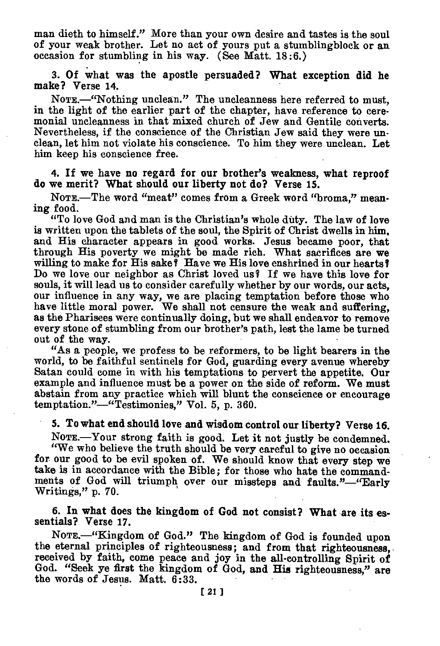man dieth to himself." More than your own desire and tastes is the soul of your weak brother. Let no act of yours put a stumblingbloek or an occasion for stumbling in his way. (See Matt. 18:6.)

#### 3. Of what was the apostle persuaded? What exception did he make? Verse 14.

NoTE.—"Nothing unclean." The uncleanness here referred to must, in the light of the earlier part of the chapter, have reference to ceremonial uncleanness in that mixed church of Jew and Gentile converts. Nevertheless, if the conscience of the Christian Jew said they were unclean, let him not violate his conscience. To him they were unclean. Let him keep his conscience free.

#### 4. If we have no regard for our brother's weakness, what reproof do we merit? What should our liberty not do? Verse 15.

NOTE.-The word "meat" comes from a Greek word "broma." meaning food.

"To love God and man is the Christian's whole duty. The law of love is written upon the tablets of the soul, the Spirit of Christ dwells in him, and His character appears in good works. Jesus became poor, that through His poverty we might be made rich. What sacrifices are we willing to make for His sake? Have we His love enshrined in our hearts? Do we love our neighbor as Christ loved us? If we have this love for souls, it will lead us to consider carefully whether by our words, our acts, our influence in any way, we are placing temptation before those who have little moral power. We shall not censure the weak and suffering, as the Pharisees were continually doing, but we shall endeavor to remove every stone of stumbling from our brother's path, lest the lame be turned out of the way.

"As a people, we profess to be reformers, to be light bearers in the world, to be faithful sentinels for God, guarding every avenue whereby Satan could come in with his temptations to pervert the appetite. Our example and influence must be a power on the side of reform. We must abstain from any practice which will blunt the conscience or encourage temptation."—"Testimonies," Vol. 5, p. 360.

### 5. To what end should love and wisdom control our liberty? Verse 16.

NOTE.—Your strong faith is good. Let it not justly be condemned.

"We who believe the truth should be very careful to give no occasion for our good to be evil spoken of. We should know that every step we take is in accordance with the Bible; for those who hate the commandments of God will triumph over our missteps and faults."—"Early Writings," p. 70.

### 6. In what does the kingdom of God not consist? What are its essentials? Verse 17.

NomE.—"Kingdom of God." The kingdom of God is founded upon the eternal principles of righteousness; and from that righteousness, received by faith, come peace and joy in the all-controlling Spirit of God. "Seek ye first the kingdom of God, and His righteousness," are the words of Jesus. Matt. 6:33.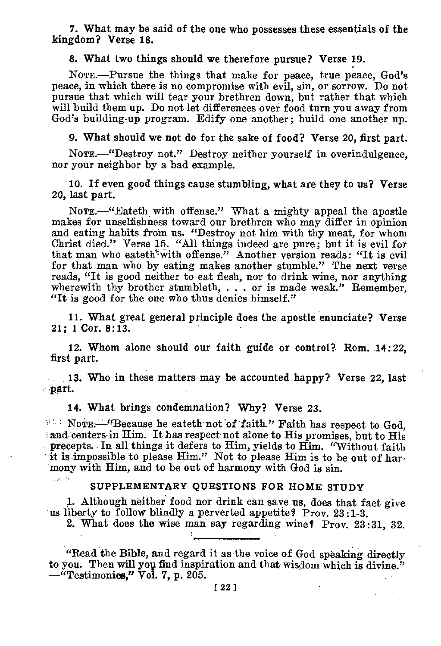7. What may be said of the one who possesses these essentials of the kingdom? Verse 18.

8. What two things should we therefore pursue? Verse 19.

NOTE.—Pursue the things that make for peace, true peace, God's peace, in which there is no compromise with evil, sin, or sorrow. Do not pursue that which will tear your brethren down, but rather that which will build them up. Do not let differences over food turn you away from God's building-up program. Edify one another; build one another up.

9. What should we not do for the sake of food? Verse 20, first part.

NOTE.—"Destroy not." Destroy neither yourself in overindulgence, nor your neighbor by a bad example.

10. If even good things cause stumbling, what are they to us? Verse 20, last part.

NOTE.—"Eateth, with offense." What a mighty appeal the apostle makes for unselfishness toward our brethren who may differ in opinion and eating habits from us. "Destroy not him with thy meat, for whom Christ died." Verse 15. "All things indeed are pure; but it is evil for that man who eateth<sup>2</sup>with offense." Another version reads: "It is evil for that man who by eating makes another stumble." The next verse reads, "It is good neither to eat flesh, nor to drink wine, nor anything wherewith thy brother stumbleth, . . . or is made weak." Remember, "It is good for the one who thus denies himself."

11. What great general principle does the apostle enunciate? Verse 21; 1 Cor. 8:13.

12. Whom alone should our faith guide or control? Rom. 14:22, first part.

13. Who in these matters may be accounted happy? Verse 22, last part.

14. What brings condemnation? Why? Verse 23.

NoTE.—"Because he eateth not of faith." Faith has respect to God, and centers in Him. It has respect not alone to His promises, but to His precepts. In all things it defers to Him, yields to Him. "Without faith it is impossible to please Him." Not to please Him is to be out of harmony with Him, and to be out of harmony with God is sin.

#### SUPPLEMENTARY QUESTIONS FOR HOME STUDY

1. Although neither food nor drink can save us, does that fact give us liberty to follow blindly a perverted appetite? Prov. 23:1-3.

2. What does the wise man say regarding wine? Prov. 23:31, 32.

"Read the Bible, and regard it as the voice of God speaking directly to you. Then will you find inspiration and that wisdom which is divine." —"Testimonies," Vol. **7,** p. 205.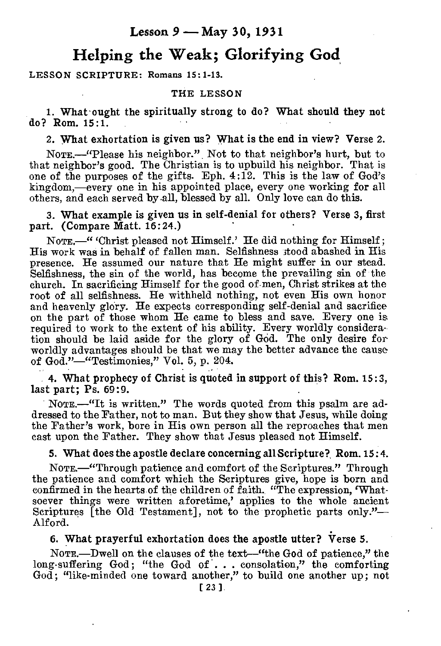### **Lesson 9 — May 30, 1931**

## **Helping the Weak; Glorifying God**

#### LESSON SCRIPTURE: Romans 15:1-13.

#### THE LESSON

1. What 'ought the spiritually strong to do? What should they not do? Rom. 15:1.

2. What exhortation is given us? What is the end in view? Verse 2.

NOTE.—"Please his neighbor." Not to that neighbor's hurt, but to that neighbor's good. The Christian is to upbuild his neighbor. That is one of the purposes of the gifts. Eph. 4:12. This is the law of God's kingdom,—every one in his appointed place, every one working for all others, and each served by all, blessed by all. Only love can do this.

3. What example is given us in self-denial for others? Verse 3, first part. (Compare Matt. 16:24.)

NOTE.—" 'Christ pleased not Himself.' He did nothing for Himself ; His work was in behalf of fallen man. Selfishness stood abashed in His presence. He assumed our nature that He might suffer in our stead. Selfishness, the sin of the world, has become the prevailing sin of the church. In sacrificing Himself for the good of men, Christ strikes at the root of all selfishness. He withheld nothing, not even His own honor and heavenly glory. He expects corresponding self-denial and sacrifice on the part of those whom He came to bless and save. Every one is required to work to the extent of his ability. Every worldly consideration should be laid aside for the glory of GOd. The only desire for worldly advantages should be that we may the better advance the cause of God."—"Testimonies," Vol. 5, p. 204.

4. What prophecy of Christ is quoted in support of this? Rom. 15:3, last part; Ps. 69:9.

NOTE.—"It is written." The words quoted from this psalm are addressed to the Father, not to man. But they show that Jesus, while doing the Father's work, bore in His own person all the reproaches that men cast upon the Father. They show that Jesus pleased not Himself.

#### 5. What does the apostle declare concerning all Scripture? Rom. 15:4.

NOTE.—"Through patience and comfort of the Scriptures." Through the patience and comfort which the Scriptures give, hope is born and confirmed in the hearts of the children of faith. "The expression, 'Whatsoever things were written aforetime,' applies to the whole ancient Scriptures [the Old Testament], not to the prophetic parts only."— Alford.

### 6. What prayerful exhortation does the apostle utter? Verse 5.

NOTE.—Dwell on the clauses of the text—"the God of patience," the long-suffering God; "the God of . . . consolation," the comforting God; "like-minded one toward another," to build one another up; not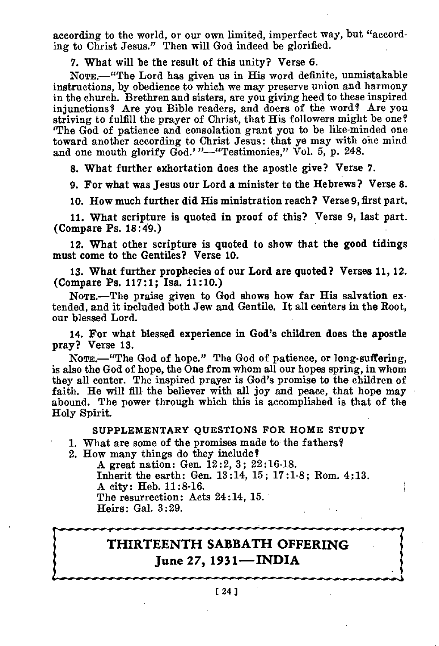according to the world, or our own limited, imperfect way, but "according to Christ Jesus." Then will God indeed be glorified.

7. What will be the result of this unity? Verse 6.

NOTE.--"The Lord has given us in His word definite, unmistakable instructions, by obedience to which we may preserve union and harmony in the church. Brethren and sisters, are you giving heed to these inspired injunctions? Are you Bible readers, and doers of the word? Are you striving to fulfill the prayer of Christ, that His followers might be one? 'The God of patience and consolation grant you to be like-minded one toward another according to Christ Jesus: that ye may with one mind and one mouth glorify God.'"-"Testimonies," Vol. 5, p. 248.

8. What further exhortation does the apostle give? Verse 7.

9. For what was Jesus our Lord a minister to the Hebrews? Verse 8.

10. How much further did His ministration reach? Verse 9, first part.

11. What scripture is quoted in proof of this? Verse 9, last part. (Compare Ps. 18:49.)

12. What other scripture is quoted to show that the good tidings must come to the Gentiles? Verse 10.

13. What further prophecies of our Lord are quoted? Verses 11, 12. (Compare Ps. 117:1; Isa. 11:10.)

NoTE.—The praise given to God shows how far His salvation extended, and it included both Jew and Gentile. It all centers in the Root, our blessed Lord.

14. For what blessed experience in God's children does the apostle pray? Verse 13.

NoTE.—"The God of hope." The God of patience, or long-suffering, is also the God of hope, the One from whom all our hopes spring, in whom they all center. The inspired prayer is God's promise to the children of faith. He will fill the believer with all joy and peace, that hope may abound. The power through which this is accomplished is that of the Holy Spirit.

#### **SUPPLEMENTARY QUESTIONS FOR HOME STUDY**

**'** 1. What are some of the promises made to the fathers?

2. How many things do they include?

A great nation : Gen. 12:2, 3; 22:16-18. Inherit the earth: Gen. 13:14, 15; 17:1-8; Rom. 4:13. A city: Heb. 11:8-16. The resurrection: Acts 24:14, 15. Heirs: Gal. 3:29.

## **THIRTEENTH SABBATH OFFERING June 27, 1931—INDIA**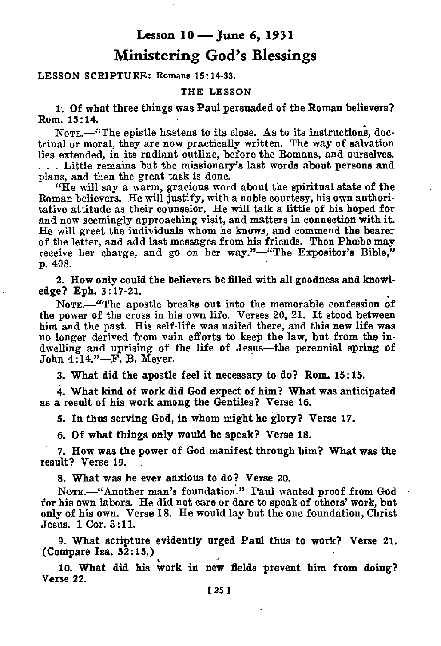## **Lesson 10 — June 6, 1931 Ministering God's Blessings**

### LESSON SCRIPTURE: Romans 15:14-33.

#### THE LESSON

**1. Of what three things was Paul persuaded of the Roman believers? Rom. 15:14.** 

NOTE.—"The epistle hastens to its close. As to its instructions, doctrinal or moral, they are now practically written. The way of salvation lies extended, in its radiant outline, before the Romans, and ourselves. . . . Little remains but the missionary's last words about persons and plans, and then the great task is done.

"He will say a warm, gracious word about the spiritual state of the Roman believers. He will justify, with a noble courtesy, his own authoritative attitude as their counselor. He will talk a little of his hoped for and now seemingly approaching visit, and matters in connection with **it.**  He will greet the individuals whom he knows, and commend the bearer of the letter, and add last messages from his friends. Then Phoebe may receive her charge, and go on her way."—"The Expositor's Bible," p. 408.

**2. How only could the believers be filled with all goodness and knowledge? Eph. 3:17-21.** 

NOTE.—"The apostle breaks out into the memorable confession **of the power of** the cross in his own life. Verses 20, 21. It stood between him and the past. His self-life was nailed there, and this new life was no longer derived from vain efforts to keep the law, but from the indwelling and uprising of the life of Jesus—the perennial spring of John 4:14."—F. B. Meyer.

**3. What did the apostle feel it necessary to do? Rom. 15:15.** 

**4. What kind of work did God expect of him? What was anticipated as a result of his work among the Gentiles? Verse 16.** 

**5. In thus serving God, in whom might he glory? Verse 17.** 

**6. Of what things only would he speak? Verse 18.** 

**7. How was the power of God manifest through him? What was the result? Verse 19.** 

**8. What was he ever anxious to do? Verse 20.** 

NomE.—"Another man's foundation." Paul wanted proof from God for his own labors. He did not care or dare to speak of others' work, but only of his own. Verse 18. He would lay but the one foundation, Christ Jesus. 1 Cor. 3:11.

**9. What scripture evidently urged Paul thus to work? Verse 21. (Compare Isa. 52:15.)** 

**10. What did his work in new fields prevent him from doing? Verse 22.**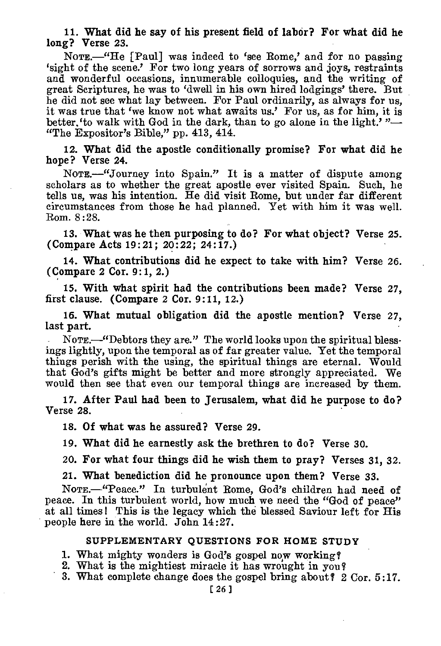11. What did he say of his present field of labor? For what did he long? Verse 23.

NoTE.—"He [Paul] was indeed to 'see Rome,' and for no passing 'sight of the scene.' For two long years of sorrows and joys, restraints and wonderful occasions, innumerable colloquies, and the writing of great Scriptures, he was to 'dwell in his own hired lodgings' there. But he did not see what lay between. For Paul ordinarily, as always for us, it was true that 'we know not what awaits us.' For us, as for him, it is better.'to walk with God in the dark, than to go alone in the light.' "— "The Expositor's Bible," pp. 413, 414.

12. What did the apostle conditionally promise? For what did he hope? Verse 24.

NoTE.—"Journey into Spain." It is a matter of dispute among scholars as to whether the great apostle ever visited Spain. Such, he tells us, was his intention. He did visit Rome, but under far different circumstances from those he had planned. Yet with him it was well. Rom. 8:28.

13. What was he then purposing to do? For what object? Verse 25. (Compare Acts 19:21; 20:22; 24:17.)

14. What contributions did he expect to take with him? Verse 26. (Compare 2 Cor. 9:1, 2.)

15. With what spirit had the contributions been made? Verse 27, first clause. (Compare 2 Cor. 9:11, 12.)

16. What mutual obligation did the apostle mention? Verse 27, last part.

NoTE.—"Debtors they are." The world looks upon the spiritual blessings lightly, upon the temporal as of far greater value. Yet the temporal things perish with the using, the spiritual things are eternal. Would that God's gifts might be better and more strongly appreciated. We would then see that even our temporal things are increased by them.

17. After Paul had been to Jerusalem, what did he purpose to do? Verse 28.

18. Of what was he assured? Verse 29.

19. What did he earnestly ask the brethren to do? Verse 30.

20. For what four things did he wish them to pray? Verses 31, 32.

21. What benediction did he pronounce upon them? Verse 33.

NoTE.—"Peace." In turbulent Rome, God's children had need of peace. In this turbulent world, how much we need the "God of peace" at all times! This is the legacy which the blessed Saviour left for His people here in the world. John 14:27.

#### SUPPLEMENTARY QUESTIONS FOR HOME STUDY

1. What mighty wonders is God's gospel now working'?

- 2. What is the mightiest miracle it has wrought in you'?
- 3. What complete change does the gospel bring about? 2 Cor. 5:17.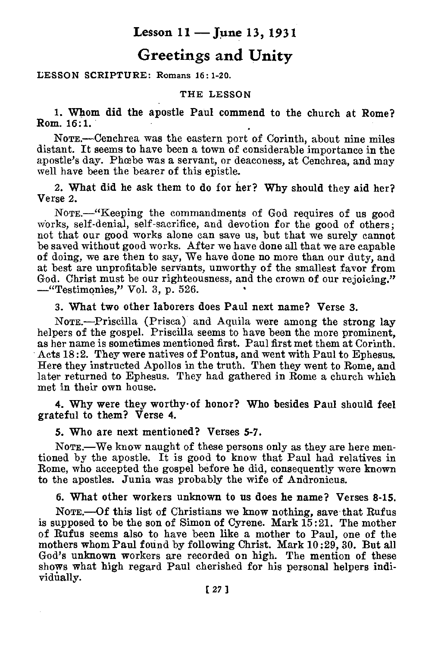## **Lesson 11 — June 13, 1931**

## **Greetings and Unity**

#### LESSON SCRIPTURE: Romans 16 : 1-20.

#### THE LESSON

1. Whom did the apostle Paul commend to the church at Rome? Rom. 16:1.

NOTE.—Cenchrea was the eastern port of Corinth, about nine miles distant. It seems to have been a town of considerable importance in the apostle's day. Phoebe was a servant, or deaconess, at Cenchrea, and may well have been the bearer of this epistle.

2. What did he ask them to do for her? Why should they aid her? Verse 2.

NOTE.—"Keeping the commandments of God requires of us good works, self-denial, self-sacrifice, and devotion for the good of others; not that our good works alone can save us, but that we surely cannot be saved without good works. After we have done all that we are capable of doing, we are then to say, We have done no more than our duty, and at best are unprofitable servants, unworthy of the smallest favor from God. Christ must be our righteousness, and the crown of our rejoicing." —"Testimonies," Vol. 3, p. 526.

3. What two other laborers does Paul next name? Verse 3.

NOTE.—Priscilla (Prises) and Aquila were among the strong lay helpers of the gospel. Priscilla seems to have been the more prominent, as her name is sometimes mentioned first. Paul first met them at Corinth. Acts 18:2. They were natives of Pontus, and went with Paul to Ephesus. Here they instructed Apollos in the truth. Then they went to Rome, and later returned to Ephesus. They had gathered in Rome a church which met in their own house.

4. Why were they worthy•of honor? Who besides Paul should feel grateful to them? Verse 4.

5. Who are next mentioned? Verses 5-7.

NorrE.—We know naught of these persons only as they are here mentioned by the apostle. It is good to know that Paul had relatives in Rome, who accepted the gospel before he did, consequently were known to the apostles. Junia was probably the wife of Andronicus.

6. What other workers unknown to us does he name? Verses 8-15.

NOTE.--Of this list of Christians we know nothing, save that Rufus is supposed to be the son of Simon of Cyrene. Mark 15:21. The mother of Rufus seems also to have been like a mother to Paul, one of the mothers whom Paul found by following Christ. Mark 10:29, 30. But all God's unknown workers are recorded on high. The mention of these shows what high regard Paul cherished for his personal helpers individually.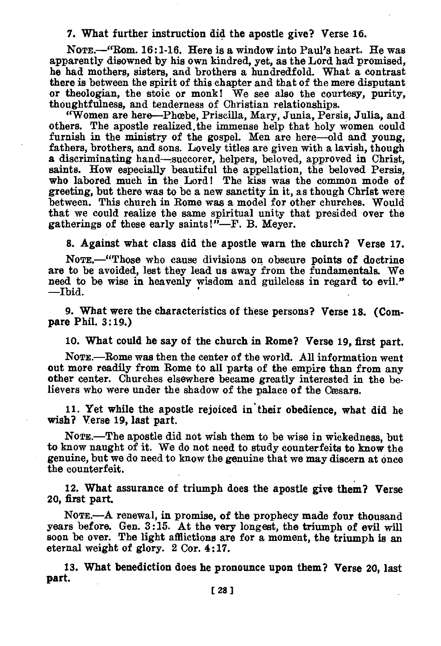#### 7. What further instruction did the apostle give? Verse 16.

NOTE.—"Rom. 16:1-16. Here is a window into Paul's heart. He was apparently disowned by his own kindred, yet, as the Lord had promised, he had mothers, sisters, and brothers a hundredfold. What a contrast there is between the spirit of this chapter and that of the mere disputant or theologian, the stoic or monk! We see also the courtesy, purity, thoughtfulness, and tenderness of Christian relationships.

"Women are here—Phcebe, Priscilla, Mary, Junia, Persis, Julia, and others. The apostle realized.the immense help that holy women could furnish in the ministry of the gospel. Men are here—old and young, fathers, brothers, and sons. Lovely titles are given with a lavish, though a discriminating hand—succorer, helpers, beloved, approved in Christ, saints. How especially beautiful the appellation, the beloved Persis, who labored much in the Lord! The kiss was the common mode of greeting, but there was to be a new sanctity in it, as though Christ were between. This church in Rome was a model for other churches. Would that we could realize the same spiritual unity that presided over the gatherings of these early saints!"—F. B. Meyer.

**8. Against what class did the apostle warn the church? Verse 17.** 

**NoTE.—"Those** who cause divisions on obscure **points of doctrine are to be avoided, lest they lead us** away from the fundamentals. We need to be wise in heavenly wisdom and guileless in regard to evil." —Ibid.

**9. What were the characteristics of these persons? Verse 18. (Compare Phil. 3:19.)** 

10. What could he say of the church in Rome? Verse 19, first part.

NoTE.—Rome was then the center of the world. All information went out more readily from Rome to all parts of the empire than from any other center. Churches elsewhere became greatly interested in the believers who were under the shadow of the palace of the Caesars.

11. Yet while the apostle rejoiced in their obedience, what did he **wish? Verse 19, last part.** 

**NOTE.—The** apostle did not wish them to be wise in wickedness, but to know naught of it. We do not need to study counterfeits to know the genuine, but we do need to know the genuine that we may discern at once the counterfeit.

12. What assurance **of triumph does the apostle give them? Verse 20, first part.** 

**NOTE.—A renewal, in promise, of the prophecy made four thousand years before. Gen. 3:15. At the very longest, the triumph of evil will soon be over. The light afflictions are for a moment, the triumph is an eternal weight of glory. 2 Cor. 4:17.** 

**13. What benediction does he pronounce upon them? Verse 20, last part.**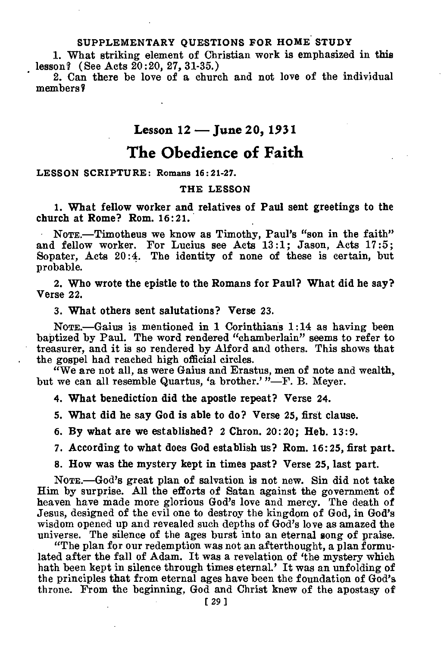### **SUPPLEMENTARY QUESTIONS FOR HOME STUDY**

1. What striking element of Christian work is emphasized in this lesson? (See Acts 20:20, 27, 31-35.)

2. Can there be love of a church and not love of the individual members'?

### **Lesson 12 — June 20, 1931**

## **The Obedience of Faith**

#### **LESSON SCRIPTURE: Romans 16:21-27.**

#### **THE LESSON**

**1. What fellow worker and relatives of Paul sent greetings to the church at Rome? Rom. 16:21.** 

NoTE.—Timotheus we know as Timothy, Paul's "son in the faith" and fellow worker. For Lucius see Acts 13:1; Jason, Acts 17:5; Sopater, Acts 20:4. The identity of none of these is certain, but probable.

**2. Who wrote the epistle to the Romans for Paul? What did he say? Verse** 22.

3. What others sent salutations? Verse 23.

NOTE.—Gaius is mentioned in 1 Corinthians 1:14 as having been baptized by Paul. The word rendered "chamberlain" seems to refer to treasurer, and it is so rendered by Alford and others. This shows that the gospel had reached high official circles.

"We are not all, as were Gaius and Erastus, men of note and wealth, but we can all resemble Quartus, 'a brother.'  $"$ -F. B. Meyer.

**4. What benediction did the apostle repeat?** Verse 24.

**5. What did he say God is able to do?** Verse 25, first clause.

6. By **what are we established?** 2 **Chron.** 20:20; **Heb.** 13:9.

**7. According to what does God establish us? Rom.** 16:25, first part.

**8. How was the mystery kept in times past? Verse** 25, last part.

NOTE.—God's great plan of salvation is not new. Sin did not take Him by surprise. All the efforts of Satan against the government of heaven have made more glorious God's love and mercy. The death of Jesus, designed of the evil one to destroy the kingdom of God, in God's wisdom opened up and revealed such depths of God's love as amazed the universe. The silence of the ages burst into an eternal song of praise.

"The plan for our redemption was not an afterthought, a plan formulated after the fall of Adam. It was a revelation of 'the mystery which hath been kept in silence through times eternal.' It was an unfolding of the principles that from eternal ages have been the foundation of God's throne. From the beginning, God and Christ knew of the apostasy of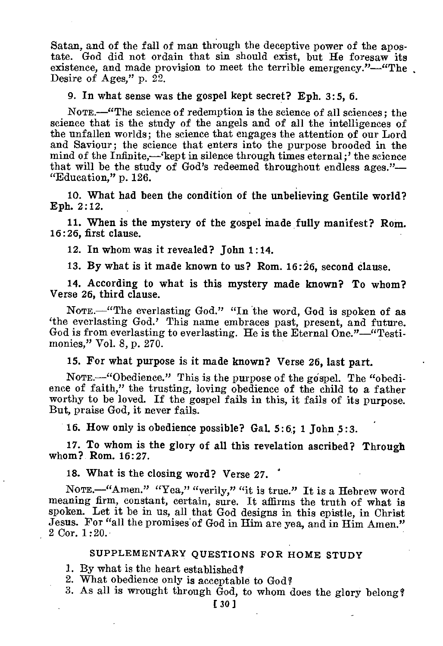Satan, and of the fall of man through the deceptive power of the apostate. God did not ordain that sin should exist, but He foresaw its existence, and made provision to meet the terrible emergency."—"The Desire of Ages," p. 22.

#### 9. In what sense was the gospel kept secret? Eph. 3:5, 6.

NOTE.—"The science of redemption is the science of all sciences; the science that is the study of the angels and of all the intelligences of the unfallen worlds; the science that engages the attention of our Lord and Saviour; the science that enters into the purpose brooded in the mind of the Infinite,—'kept in silence through times eternal;' the science that will be the study of God's redeemed throughout endless ages."— "Education," p. 126.

10. What had been the condition of the unbelieving Gentile world? Eph. 2:12.

11. 'When is the mystery of the gospel made fully manifest? Rom. 16:26, first clause.

12. In whom was it revealed? John 1:14.

13. By what is it made known to us? Rom. 16:26, second clause.

14. According to what is this mystery made known? To whom? Verse 26, third clause.

NOTE.—"The everlasting God." "In the word, God is spoken of as 'the everlasting God.' This name embraces past, present, and future. God is from everlasting to everlasting. He is the Eternal One."—"Testimonies," Vol. 8, p. 270.

15. For what purpose is it made known? Verse 26, last part.

NOTE.—"Obedience." This is the purpose of the gospel. The "obedience of faith," the trusting, loving obedience of the child to a father worthy to be loved. If the gospel fails in this, it fails of its purpose. But, praise God, it never fails.

16. How only is obedience possible? Gal. 5:6; 1 John 5:3.

17. To whom is the glory of all this revelation ascribed? Through whom? Rom. 16:27.

18. What is the closing word? Verse 27.

NOTE.—"Amen." "Yea," "verily," "it is true." It is a Hebrew word meaning firm, constant, certain, sure. It affirms the truth of what is spoken. Let it be in us, all that God designs in this epistle, in Christ Jesus. For "all the promises'of God in Him are yea, and in Him Amen." 2 Cor. 1:20.

#### SUPPLEMENTARY QUESTIONS FOR HOME STUDY

1. By what is the heart established?

- 2. What obedience only is acceptable to God?
- 3. As all is wrought through God, to whom does the glory belong?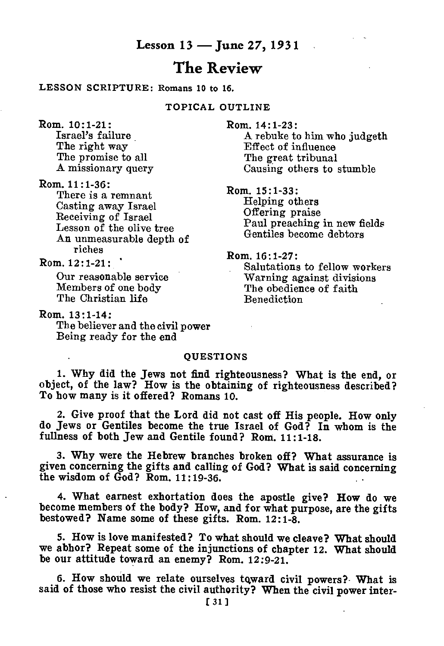### **Lesson 13 — June 27, 1931**

## **The Review**

#### LESSON SCRIPTURE: Romans 10 to 16.

TOPICAL OUTLINE

Rom. 10:1-21: Israel's failure The right way The promise to all A missionary query

Rom. 11:1-36:

There is a remnant Casting away Israel Receiving of Israel Lesson of the olive tree An unmeasurable depth of riches

 $Rom. 12:1-21:$ 

Our reasonable service Members of one body The Christian life

Rom. 13 : 1-14 : The believer and the civil power Being ready for the end

Rom. 14:1-23:

A rebuke to him who judgeth Effect of influence The great tribunal Causing others to stumble

Rom. 15:1-33:

Helping others Offering praise Paul preaching in new fields Gentiles become debtors

Rom. 16:1-27:

Salutations to fellow workers Warning against divisions The obedience of faith Benediction

#### **OUESTIONS**

1. Why did the Jews not find righteousness? What is the end, or object, of the law? How is the obtaining of righteousness described? To how many is it offered? Romans 10.

2. Give proof that the Lord did not cast off His people. How only do Jews or Gentiles become the true Israel of God? In whom is the fullness of both Jew and Gentile found? Rom. 11:1-18.

3. Why were the Hebrew branches broken off? What assurance is given concerning the gifts and calling of God? What is said concerning the wisdom of God? Rom. 11:19-36.

4. What earnest exhortation does the apostle give? How do we become members of the body? How, and for what purpose, are the gifts bestowed? Name some of these gifts. Rom. 12:1-8.

5. How is love manifested? To what should we cleave? What should we abhor? Repeat some of the injunctions of chapter 12. What should be our attitude toward an enemy? Rom. 12:9-21.

6. How should we relate ourselves tqward civil powers?- What is said of those who resist the civil authority? When the civil power inter